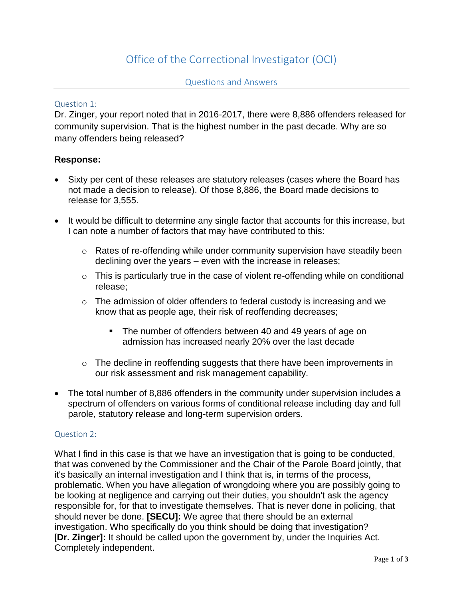# Office of the Correctional Investigator (OCI)

### Question 1:

Dr. Zinger, your report noted that in 2016-2017, there were 8,886 offenders released for community supervision. That is the highest number in the past decade. Why are so many offenders being released?

### **Response:**

- Sixty per cent of these releases are statutory releases (cases where the Board has not made a decision to release). Of those 8,886, the Board made decisions to release for 3,555.
- It would be difficult to determine any single factor that accounts for this increase, but I can note a number of factors that may have contributed to this:
	- o Rates of re-offending while under community supervision have steadily been declining over the years – even with the increase in releases;
	- $\circ$  This is particularly true in the case of violent re-offending while on conditional release;
	- o The admission of older offenders to federal custody is increasing and we know that as people age, their risk of reoffending decreases;
		- The number of offenders between 40 and 49 years of age on admission has increased nearly 20% over the last decade
	- o The decline in reoffending suggests that there have been improvements in our risk assessment and risk management capability.
- The total number of 8,886 offenders in the community under supervision includes a spectrum of offenders on various forms of conditional release including day and full parole, statutory release and long-term supervision orders.

#### Question 2:

What I find in this case is that we have an investigation that is going to be conducted, that was convened by the Commissioner and the Chair of the Parole Board jointly, that it's basically an internal investigation and I think that is, in terms of the process, problematic. When you have allegation of wrongdoing where you are possibly going to be looking at negligence and carrying out their duties, you shouldn't ask the agency responsible for, for that to investigate themselves. That is never done in policing, that should never be done. **[SECU]:** We agree that there should be an external investigation. Who specifically do you think should be doing that investigation? [**Dr. Zinger]:** It should be called upon the government by, under the Inquiries Act. Completely independent.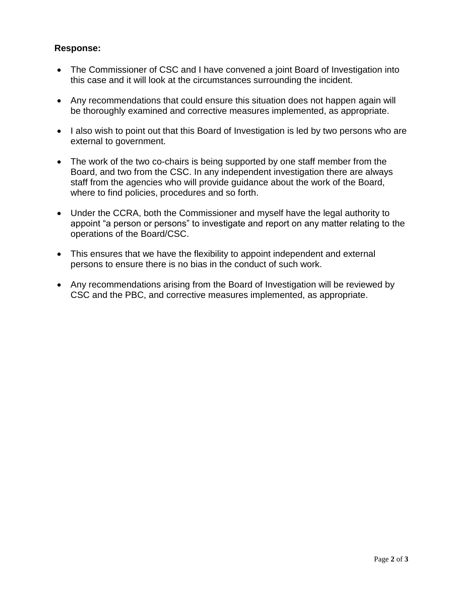# **Response:**

- The Commissioner of CSC and I have convened a joint Board of Investigation into this case and it will look at the circumstances surrounding the incident.
- Any recommendations that could ensure this situation does not happen again will be thoroughly examined and corrective measures implemented, as appropriate.
- I also wish to point out that this Board of Investigation is led by two persons who are external to government.
- The work of the two co-chairs is being supported by one staff member from the Board, and two from the CSC. In any independent investigation there are always staff from the agencies who will provide guidance about the work of the Board, where to find policies, procedures and so forth.
- Under the CCRA, both the Commissioner and myself have the legal authority to appoint "a person or persons" to investigate and report on any matter relating to the operations of the Board/CSC.
- This ensures that we have the flexibility to appoint independent and external persons to ensure there is no bias in the conduct of such work.
- Any recommendations arising from the Board of Investigation will be reviewed by CSC and the PBC, and corrective measures implemented, as appropriate.